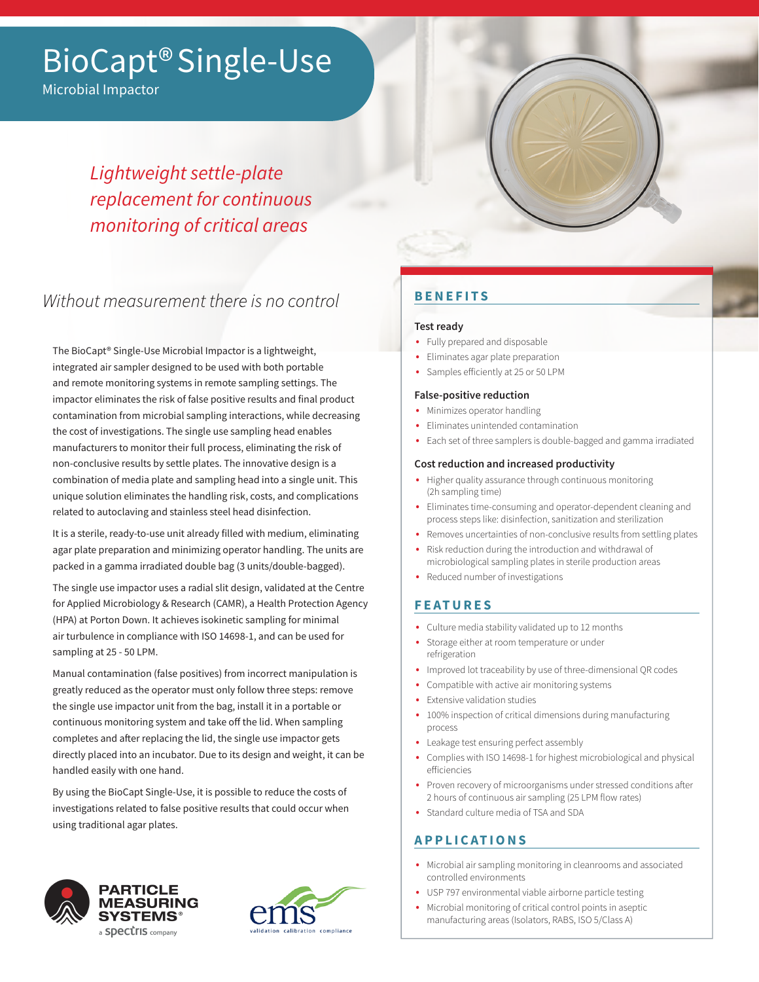# BioCapt® Single-Use

Microbial Impactor

# *Lightweight settle-plate replacement for continuous monitoring of critical areas*

# Without measurement there is no control

The BioCapt® Single-Use Microbial Impactor is a lightweight, integrated air sampler designed to be used with both portable and remote monitoring systems in remote sampling settings. The impactor eliminates the risk of false positive results and final product contamination from microbial sampling interactions, while decreasing the cost of investigations. The single use sampling head enables manufacturers to monitor their full process, eliminating the risk of non-conclusive results by settle plates. The innovative design is a combination of media plate and sampling head into a single unit. This unique solution eliminates the handling risk, costs, and complications related to autoclaving and stainless steel head disinfection.

It is a sterile, ready-to-use unit already filled with medium, eliminating agar plate preparation and minimizing operator handling. The units are packed in a gamma irradiated double bag (3 units/double-bagged).

The single use impactor uses a radial slit design, validated at the Centre for Applied Microbiology & Research (CAMR), a Health Protection Agency (HPA) at Porton Down. It achieves isokinetic sampling for minimal air turbulence in compliance with ISO 14698-1, and can be used for sampling at 25 - 50 LPM.

Manual contamination (false positives) from incorrect manipulation is greatly reduced as the operator must only follow three steps: remove the single use impactor unit from the bag, install it in a portable or continuous monitoring system and take off the lid. When sampling completes and after replacing the lid, the single use impactor gets directly placed into an incubator. Due to its design and weight, it can be handled easily with one hand.

By using the BioCapt Single-Use, it is possible to reduce the costs of investigations related to false positive results that could occur when using traditional agar plates.





## **BENEFITS**

#### **Test ready**

- Fully prepared and disposable
- Eliminates agar plate preparation
- Samples efficiently at 25 or 50 LPM

#### **False-positive reduction**

- Minimizes operator handling
- Eliminates unintended contamination
- Each set of three samplers is double-bagged and gamma irradiated

#### **Cost reduction and increased productivity**

- Higher quality assurance through continuous monitoring (2h sampling time)
- Eliminates time-consuming and operator-dependent cleaning and process steps like: disinfection, sanitization and sterilization
- Removes uncertainties of non-conclusive results from settling plates
- Risk reduction during the introduction and withdrawal of microbiological sampling plates in sterile production areas
- Reduced number of investigations

### **FEATURES**

- Culture media stability validated up to 12 months
- Storage either at room temperature or under refrigeration
- Improved lot traceability by use of three-dimensional QR codes
- Compatible with active air monitoring systems
- Extensive validation studies
- 100% inspection of critical dimensions during manufacturing process
- Leakage test ensuring perfect assembly
- Complies with ISO 14698-1 for highest microbiological and physical efficiencies
- Proven recovery of microorganisms under stressed conditions after 2 hours of continuous air sampling (25 LPM flow rates)
- Standard culture media of TSA and SDA

### **APPLICATIONS**

- Microbial air sampling monitoring in cleanrooms and associated controlled environments
- USP 797 environmental viable airborne particle testing
- Microbial monitoring of critical control points in aseptic manufacturing areas (Isolators, RABS, ISO 5/Class A)